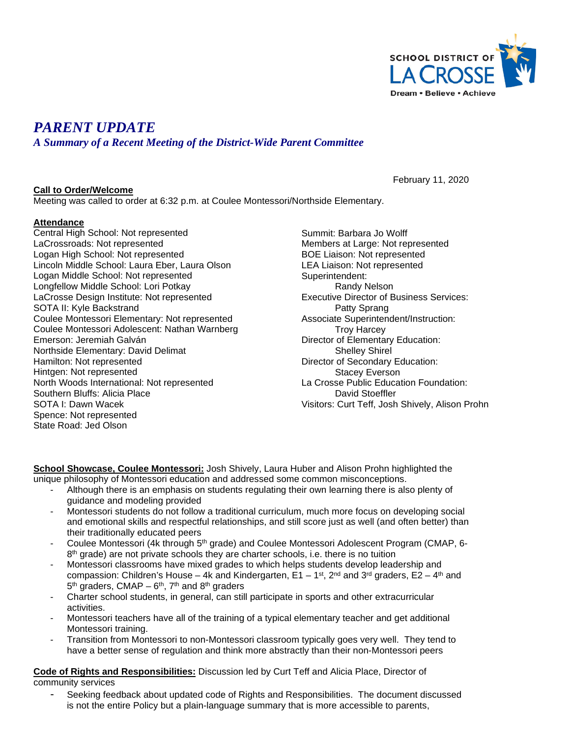

# *PARENT UPDATE*

*A Summary of a Recent Meeting of the District-Wide Parent Committee*

#### **Call to Order/Welcome**

February 11, 2020

Meeting was called to order at 6:32 p.m. at Coulee Montessori/Northside Elementary.

#### **Attendance**

Central High School: Not represented LaCrossroads: Not represented Logan High School: Not represented Lincoln Middle School: Laura Eber, Laura Olson Logan Middle School: Not represented Longfellow Middle School: Lori Potkay LaCrosse Design Institute: Not represented SOTA II: Kyle Backstrand Coulee Montessori Elementary: Not represented Coulee Montessori Adolescent: Nathan Warnberg Emerson: Jeremiah Galván Northside Elementary: David Delimat Hamilton: Not represented Hintgen: Not represented North Woods International: Not represented Southern Bluffs: Alicia Place SOTA I: Dawn Wacek Spence: Not represented State Road: Jed Olson

Summit: Barbara Jo Wolff Members at Large: Not represented BOE Liaison: Not represented LEA Liaison: Not represented Superintendent: Randy Nelson Executive Director of Business Services: Patty Sprang Associate Superintendent/Instruction: Troy Harcey Director of Elementary Education: Shelley Shirel Director of Secondary Education: Stacey Everson La Crosse Public Education Foundation: David Stoeffler Visitors: Curt Teff, Josh Shively, Alison Prohn

**School Showcase, Coulee Montessori:** Josh Shively, Laura Huber and Alison Prohn highlighted the unique philosophy of Montessori education and addressed some common misconceptions.

- Although there is an emphasis on students regulating their own learning there is also plenty of guidance and modeling provided
- Montessori students do not follow a traditional curriculum, much more focus on developing social and emotional skills and respectful relationships, and still score just as well (and often better) than their traditionally educated peers
- Coulee Montessori (4k through 5<sup>th</sup> grade) and Coulee Montessori Adolescent Program (CMAP, 6- $8<sup>th</sup>$  grade) are not private schools they are charter schools, i.e. there is no tuition
- Montessori classrooms have mixed grades to which helps students develop leadership and compassion: Children's House – 4k and Kindergarten,  $E1 - 1^{st}$ , 2<sup>nd</sup> and 3<sup>rd</sup> graders,  $E2 - 4^{th}$  and  $5<sup>th</sup>$  graders, CMAP –  $6<sup>th</sup>$ , 7<sup>th</sup> and  $8<sup>th</sup>$  graders
- Charter school students, in general, can still participate in sports and other extracurricular activities.
- Montessori teachers have all of the training of a typical elementary teacher and get additional Montessori training.
- Transition from Montessori to non-Montessori classroom typically goes very well. They tend to have a better sense of regulation and think more abstractly than their non-Montessori peers

**Code of Rights and Responsibilities:** Discussion led by Curt Teff and Alicia Place, Director of community services

Seeking feedback about updated code of Rights and Responsibilities. The document discussed is not the entire Policy but a plain-language summary that is more accessible to parents,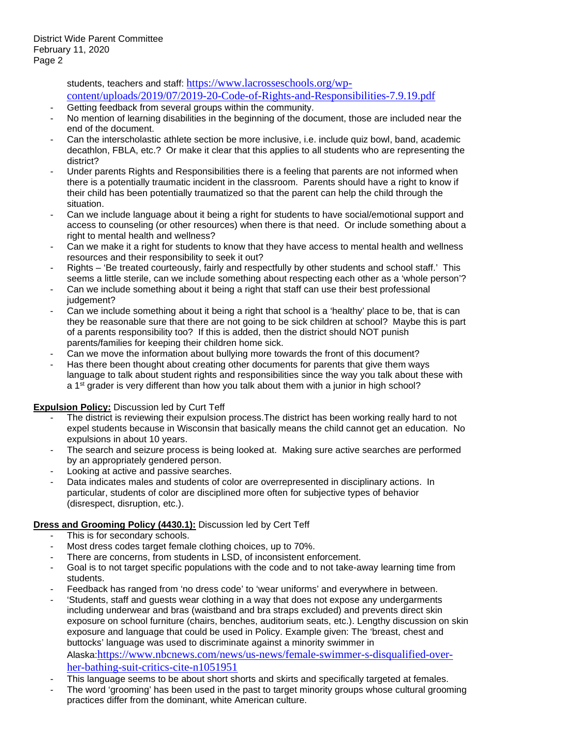students, teachers and staff: [https://www.lacrosseschools.org/wp](https://www.lacrosseschools.org/wp-content/uploads/2019/07/2019-20-Code-of-Rights-and-Responsibilities-7.9.19.pdf)[content/uploads/2019/07/2019-20-Code-of-Rights-and-Responsibilities-7.9.19.pdf](https://www.lacrosseschools.org/wp-content/uploads/2019/07/2019-20-Code-of-Rights-and-Responsibilities-7.9.19.pdf)

- Getting feedback from several groups within the community.
- No mention of learning disabilities in the beginning of the document, those are included near the end of the document.
- Can the interscholastic athlete section be more inclusive, i.e. include quiz bowl, band, academic decathlon, FBLA, etc.? Or make it clear that this applies to all students who are representing the district?
- Under parents Rights and Responsibilities there is a feeling that parents are not informed when there is a potentially traumatic incident in the classroom. Parents should have a right to know if their child has been potentially traumatized so that the parent can help the child through the situation.
- Can we include language about it being a right for students to have social/emotional support and access to counseling (or other resources) when there is that need. Or include something about a right to mental health and wellness?
- Can we make it a right for students to know that they have access to mental health and wellness resources and their responsibility to seek it out?
- Rights 'Be treated courteously, fairly and respectfully by other students and school staff.' This seems a little sterile, can we include something about respecting each other as a 'whole person'?
- Can we include something about it being a right that staff can use their best professional judgement?
- Can we include something about it being a right that school is a 'healthy' place to be, that is can they be reasonable sure that there are not going to be sick children at school? Maybe this is part of a parents responsibility too? If this is added, then the district should NOT punish parents/families for keeping their children home sick.
- Can we move the information about bullying more towards the front of this document?
- Has there been thought about creating other documents for parents that give them ways language to talk about student rights and responsibilities since the way you talk about these with a 1<sup>st</sup> grader is very different than how you talk about them with a junior in high school?

#### **Expulsion Policy:** Discussion led by Curt Teff

- The district is reviewing their expulsion process. The district has been working really hard to not expel students because in Wisconsin that basically means the child cannot get an education. No expulsions in about 10 years.
- The search and seizure process is being looked at. Making sure active searches are performed by an appropriately gendered person.
- Looking at active and passive searches.
- Data indicates males and students of color are overrepresented in disciplinary actions. In particular, students of color are disciplined more often for subjective types of behavior (disrespect, disruption, etc.).

#### **Dress and Grooming Policy (4430.1):** Discussion led by Cert Teff

- This is for secondary schools.
- Most dress codes target female clothing choices, up to 70%.
- There are concerns, from students in LSD, of inconsistent enforcement.
- Goal is to not target specific populations with the code and to not take-away learning time from students.
- Feedback has ranged from 'no dress code' to 'wear uniforms' and everywhere in between.
- 'Students, staff and guests wear clothing in a way that does not expose any undergarments including underwear and bras (waistband and bra straps excluded) and prevents direct skin exposure on school furniture (chairs, benches, auditorium seats, etc.). Lengthy discussion on skin exposure and language that could be used in Policy. Example given: The 'breast, chest and buttocks' language was used to discriminate against a minority swimmer in Alaska:[https://www.nbcnews.com/news/us-news/female-swimmer-s-disqualified-over](https://www.nbcnews.com/news/us-news/female-swimmer-s-disqualified-over-her-bathing-suit-critics-cite-n1051951)[her-bathing-suit-critics-cite-n1051951](https://www.nbcnews.com/news/us-news/female-swimmer-s-disqualified-over-her-bathing-suit-critics-cite-n1051951)
- This language seems to be about short shorts and skirts and specifically targeted at females.
- The word 'grooming' has been used in the past to target minority groups whose cultural grooming practices differ from the dominant, white American culture.